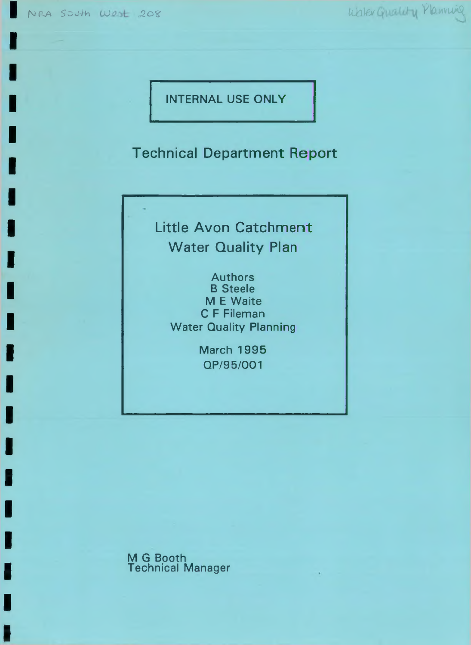NRA South West 208 White Guality Manning

INTERNAL USE ONLY

Technical Department Report

Little Avon Catchment Water Quality Plan

**Authors** B Steele M E Waite C F Fileman Water Quality Planning

> March 1995 QP/95/001

M G Booth Technical Manager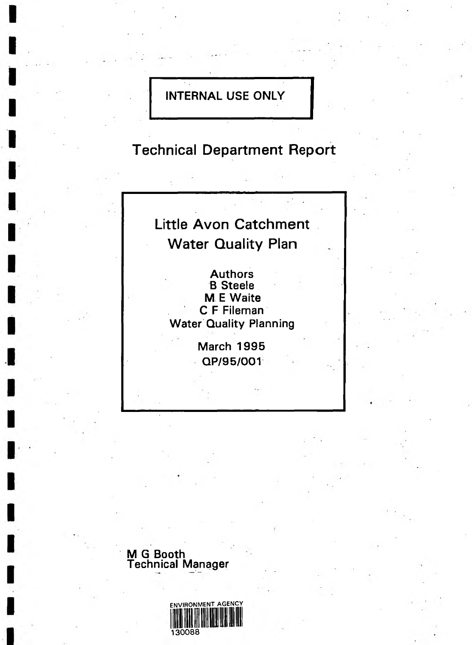## **INTERNAL USE ONLY**

**Technical Department Report**

# **Little Avon Catchment Water Quality Plan**

**Authors B Steele M E Waite C F Fileman Water Quality Planning**

> **March** 1995 **QP/**9 5/001



**M G Booth**

**Technical Manager**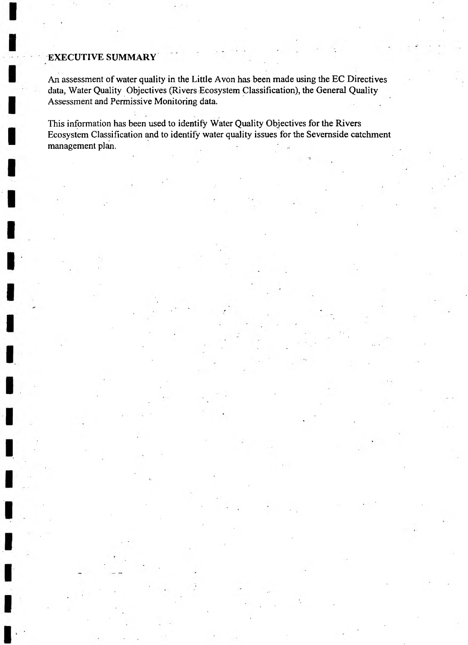#### **EXECUTIVE SUMMARY**

An assessment of water quality in the Little Avon has been made using the EC Directives data, Water Quality Objectives (Rivers Ecosystem Classification), the General Quality Assessment and Permissive Monitoring data.

This information has been used to identify Water Quality Objectives for the Rivers Ecosystem Classification and to identify water quality issues for the Sevemside catchment management plan.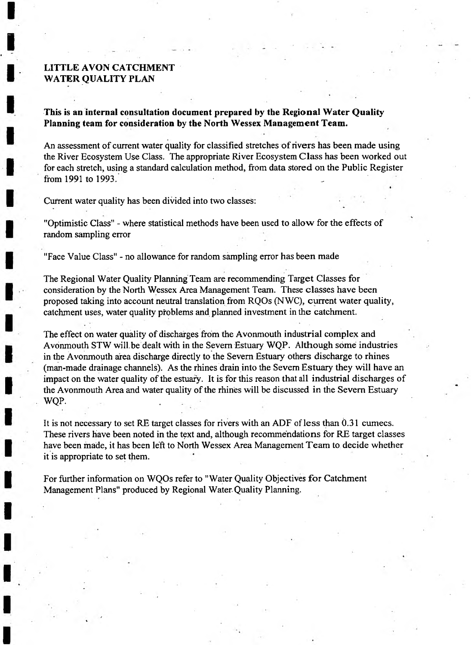#### **LITTLE AVON CATCHMENT WATER QUALITY PLAN**

**This is an internal consultation document prepared by the Regional Water Quality Planning team for consideration by the North Wessex Management Team.**

An assessment of current water quality for classified stretches of rivers has been made using the River Ecosystem Use Class. The appropriate River Ecosystem Class has been worked out for each stretch, using a standard calculation method, from data stored on the Public Register from 1991 to 1993. ^

Current water quality has been divided into two classes:

"Optimistic Class" - where statistical methods have been used to allow for the effects of random sampling error

"Face Value Class" - no allowance for random sampling error has been made

The Regional Water Quality Planning Team are recommending Target Classes for consideration by the North Wessex Area Management Team. These classes have been proposed taking into account neutral translation from RQOs (NWC), current water quality, catchment uses, water quality problems and planned investment in the catchment.

The effect on water quality of discharges from the Avonmouth industrial complex and Avonmouth STW will.be dealt with in the Severn Estuary WQP. Although some industries in the Avonmouth area discharge directly to the Severn Estuary others discharge to rhines (man-made drainage channels). As the rhines drain into the Severn Estuary they will have an impact on the water quality of the estuary. It is for this reason that all industrial discharges of the Avonmouth Area and water quality of the rhines will be discussed in the Severn Estuary WOP.

It is not necessary to set RE target classes for rivers with an ADF of less than 0.31 cumecs. These rivers have been noted in the text and, although recommendations for RE target classes have been made, it has been left to North Wessex Area Management Team to decide whether it is appropriate to set them.

For further information on WQOs refer to "Water Quality Objectives for Catchment Management Plans" produced by Regional Water Quality Planning.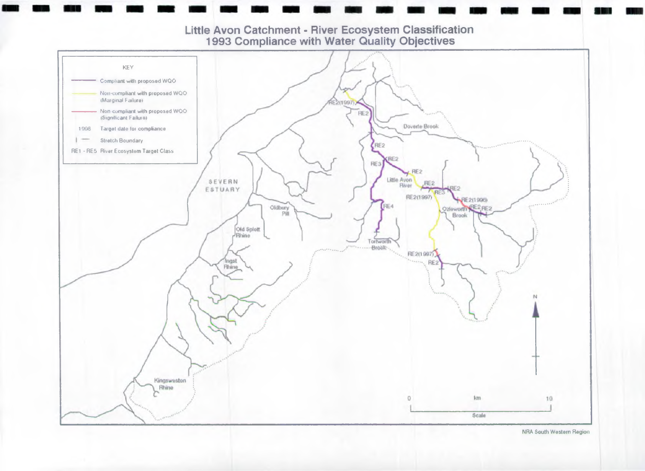

NRA South Western Region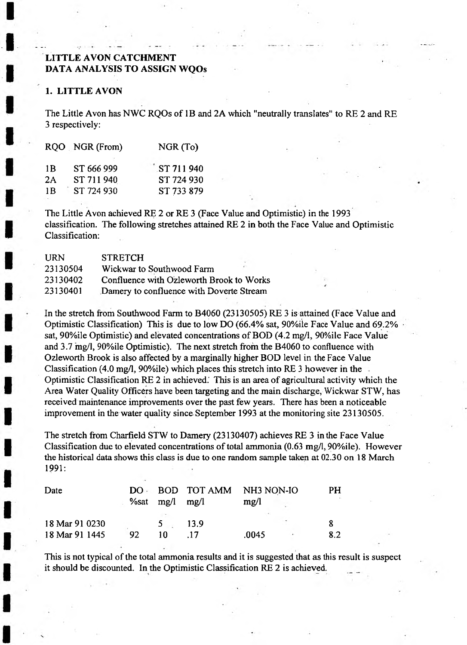### **LITTLE AVON CATCHMENT DATA ANALYSIS TO ASSIGN WQOs**

#### **1. LITTLE AVON**

The Little Avon has NWC RQOs of IB and 2A which "neutrally translates" to RE 2 and RE 3 respectively:

|     | RQO NGR (From) | NGR (To)              |
|-----|----------------|-----------------------|
| 1 B | ST 666 999     | $\sqrt{5}$ ST 711 940 |
| 2Α  | ST 711 940     | ST 724 930            |
| 1B  | ST 724 930     | ST 733 879            |

The Little Avon achieved RE 2 or RE 3 (Face Value and Optimistic) in the 1993 classification. The following stretches attained RE 2 in both the Face Value and Optimistic Classification:

| <b>URN</b> | <b>STRETCH</b>                           |
|------------|------------------------------------------|
| 23130504   | Wickwar to Southwood Farm                |
| 23130402   | Confluence with Ozleworth Brook to Works |
| 23130401   | Damery to confluence with Doverte Stream |

In the stretch from Southwood Farm to B4060 (23130505) RE 3 is attained (Face Value and Optimistic Classification) This is due to low DO (66.4% sat, 90%ile Face Value and 69.2% sat, 90%ile Optimistic) and elevated concentrations of BOD (4.2 mg/1, 90%ile Face Value and 3.7 mg/1, 90%ile Optimistic). The next stretch from the B4060 to confluence with Ozleworth Brook is also affected by a marginally higher BOD level in the Face Value Classification (4.0 mg/1, 90%ile) which places this stretch into RE 3 however in the Optimistic Classification RE 2 in achieved.' This is an area of agricultural activity which the Area Water Quality Officers have been targeting and the main discharge, Wickwar STW, has received maintenance improvements over the past few years. There has been a noticeable improvement in the water quality since September 1993 at the monitoring site 23130505.

The stretch from Charfield STW to Damery (23130407) achieves RE 3 in the Face Value Classification due to elevated concentrations of total ammonia (0.63 mg/1,90%ile). However the historical data shows this class is due to one random sample taken at 02.30 on 18 March 1991:

| Date           | $DO -$ |               | BOD TOT AMM NH3 NON-IO |       |                          | PH  |
|----------------|--------|---------------|------------------------|-------|--------------------------|-----|
|                |        | $\%$ sat mg/l | mg/l                   | mg/l  |                          |     |
| 18 Mar 91 0230 |        |               | 13.9                   |       | $\overline{\phantom{a}}$ |     |
| 18 Mar 91 1445 | 92     |               |                        | .0045 |                          | 8.2 |

This is not typical of the total ammonia results and it is suggested that as this result is suspect it should be discounted. In the Optimistic Classification RE 2 is achieved.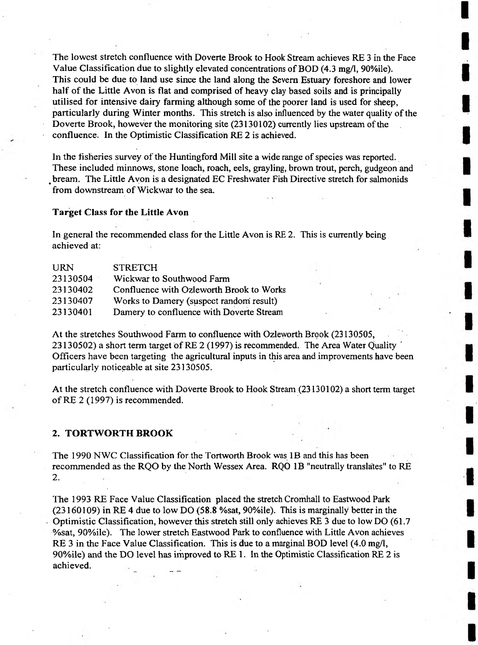The lowest stretch confluence with Doverte Brook to Hook Stream achieves RE 3 in the Face Value Classification due to slightly elevated concentrations of BOD (4.3 mg/1, 90%ile). This could be due to land use since the land along the Severn Estuary foreshore and lower half of the Little Avon is flat and comprised of heavy clay based soils and is principally utilised for intensive dairy farming although some of the poorer land is used for sheep, particularly during Winter months. This stretch is also influenced by the water quality of the Doverte Brook, however the monitoring site (23130102) currently lies upstream of the confluence. In the Optimistic Classification RE 2 is achieved.

In the fisheries survey of the Huntingford Mill site a wide range of species was reported. These included minnows, stone loach, roach, eels, grayling, brown trout, perch, gudgeon and bream. The Little Avon is a designated EC Freshwater Fish Directive stretch for salmonids from downstream of Wickwar to the sea.

#### **Target Class for the Little Avon**

In general the recommended class for the Little Avon is RE 2. This is currently being achieved at:

| <b>URN</b> | <b>STRETCH</b>                           |
|------------|------------------------------------------|
| 23130504   | Wickwar to Southwood Farm                |
| 23130402   | Confluence with Ozleworth Brook to Works |
| 23130407   | Works to Damery (suspect random result)  |
| 23130401   | Damery to confluence with Doverte Stream |

At the stretches Southwood Farm to confluence with Ozleworth Brook (23130505, 23130502) a short term target of RE 2 (1997) is recommended. The Area Water Quality ' Officers have been targeting the agricultural inputs in this area and improvements have been particularly noticeable at site 23130505.

At the stretch confluence with DoVerte Brook to Hook Stream (23130102) a short term target of RE 2 (1997) is recommended.

#### **2. TORTWORTH BROOK**

The 1990 NWC Classification for the Tortworth Brook was IB and this has been recommended as the RQO by the North Wessex Area. RQO IB "neutrally translates" to RE 2.

The 1993 RE Face Value Classification placed the stretch Cromhall to Eastwood Park (23160109) in RE 4 due to low DO (58.8 %sat, 90%ile). This is marginally better in the Optimistic Classification, however this stretch still only achieves RE 3 due to low DO (61.7 %sat, 90%ile). The lower stretch Eastwood Park to confluence with Little Avon achieves RE 3 in the Face Value Classification. This is due to a marginal BOD level (4.0 mg/1, 90%ile) and the DO level has improved to RE 1. In the Optimistic Classification RE 2 is achieved.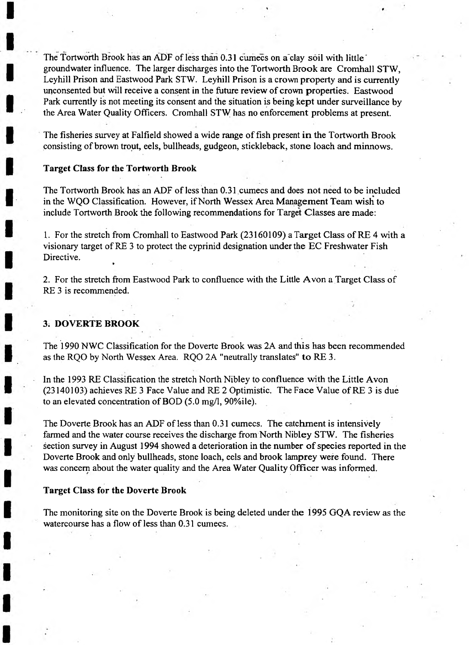The Tortworth Brook has an ADF of less than 0.31 cumecs on a"clay soil with little' groundwater influence. The larger discharges into the Tortworth Brook are Cromhall STW, Leyhill Prison and Eastwood Park STW. Leyhill Prison is a crown property and is currently unconsented but will receive a consent in the future review of crown properties. Eastwood Park currently is not meeting its consent and the situation is being kept under surveillance by the Area Water Quality Officers. Cromhali STW has no enforcement problems at present.

The fisheries survey at Falfield showed a wide range of fish present in the Tortworth Brook consisting of brown trout, eels, bullheads, gudgeon, stickleback, stone loach and minnows.

#### **Target Class for the Tortworth Brook**

The Tortworth Brook has an ADF of less than 0.31 cumecs and does not need to be included in the WQO Classification. However, if North Wessex Area Management Team wish to include Tortworth Brook the following recommendations for Target Classes are made:

1. For the stretch from Cromhall to Eastwood Park (23160109) a Target Class of RE 4 with a visionary target of RE 3 to protect the cyprinid designation under the EC Freshwater Fish Directive. »

2. For the stretch from Eastwood Park to confluence with the Little Avon a Target Class of RE 3 is recommended.

#### **3. DOVERTE BROOK**

The 1990 NWC Classification for the Doverte Brook was 2A and this has been recommended as the RQO by North Wessex Area. RQO 2A "neutrally translates" to RE 3.

In the 1993 RE Classification the stretch North Nibley to confluence with the Little Avon (23140103) achieves RE 3 Face Value and RE 2 Optimistic. The Face Value of RE 3 is due to an elevated concentration of BOD (5.0 mg/1, 90%ile).

The Doverte Brook has an ADF of less than 0.31 cumecs. The catchment is intensively farmed and the water course receives the discharge from North Nibley STW. The fisheries section survey in August 1994 showed a deterioration in the number of species reported in the Doverte Brook and only bullheads, stone loach, eels and brook lamprey were found. There was concern about the water quality and the Area Water Quality Officer was informed.

#### **Target Class for the Doverte Brook**

The monitoring site on the Doverte Brook is being deleted under the 1995 GQA review as the watercourse has a flow of less than 0.31 cumecs.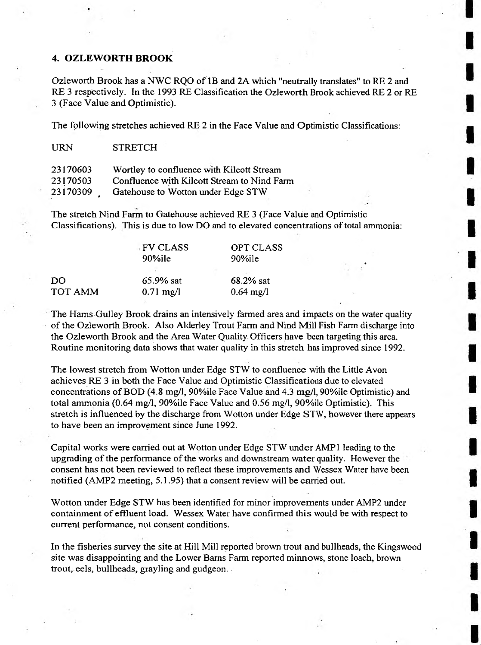#### **4. OZLEWORTH BROOK**

URN STRETCH

Ozleworth Brook has a NWC RQO of IB and 2A which "neutrally translates" to RE 2 and RE 3 respectively. In the 1993 RE Classification the Ozleworth Brook achieved RE 2 or RE 3 (Face Value and Optimistic).

The following stretches achieved RE 2 in the Face Value and Optimistic Classifications:

| 23170603 | Wortley to confluence with Kilcott Stream   |
|----------|---------------------------------------------|
| 23170503 | Confluence with Kilcott Stream to Nind Farm |
| 23170309 | Gatehouse to Wotton under Edge STW          |

The stretch Nind Farm to Gatehouse achieved RE 3 (Face Value and Optimistic Classifications). This is due to low DO and to elevated concentrations of total ammonia:

|                | - FV CLASS<br>90%ile | OPT CLASS<br>90%ile |  |
|----------------|----------------------|---------------------|--|
|                |                      |                     |  |
| DO             | $65.9%$ sat          | $68.2%$ sat         |  |
| <b>TOT AMM</b> | $0.71 \text{ mg/l}$  | $0.64 \text{ mg}/1$ |  |

The Hams Gulley Brook drains an intensively farmed area and impacts on the water quality of the Ozleworth Brook. Also Alderley Trout Farm and Nind Mill Fish Farm discharge into the Ozleworth Brook and the Area Water Quality Officers have been targeting this area. Routine monitoring data shows that water quality in this stretch has improved since 1992.

The lowest stretch from Wotton under Edge STW to confluence with the Little Avon achieves RE 3 in both the Face Value and Optimistic Classifications due to elevated concentrations of BOD (4.8 mg/1, 90%ile Face Value and 4.3 mg/1, 90%ile Optimistic) and total ammonia (0.64 mg/1, 90%ile Face Value and 0.56 mg/1, 90%ile Optimistic). This stretch is influenced by the discharge from Wotton under Edge STW, however there appears to have been an improvement since June 1992.

Capital works were carried out at Wotton under Edge STW under AMP 1 leading to the upgrading of the performance of the works and downstream water quality. However the consent has not been reviewed to reflect these improvements and Wessex Water have been notified (AMP2 meeting, 5.1.95) that a consent review will be carried out.

Wotton under Edge STW has been identified for minor improvements under AMP2 under containment of effluent load. Wessex Water have confirmed this would be with respect to current performance, not consent conditions.

In the fisheries survey the site at Hill Mill reported brown trout and bullheads, the Kingswood site was disappointing and the Lower Bams Farm reported minnows, stone loach, brown trout, eels, bullheads, grayling and gudgeon.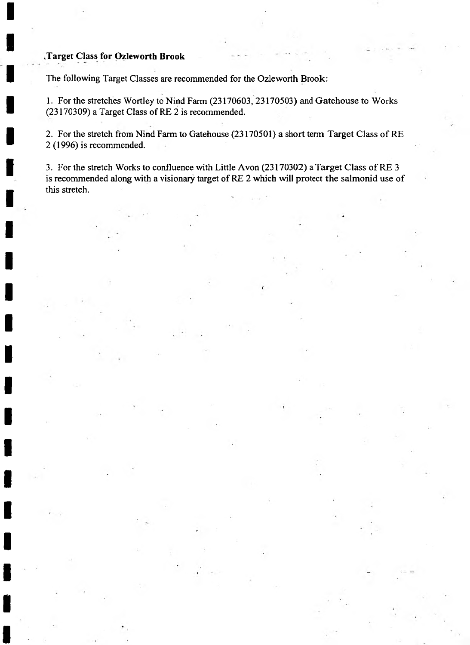#### **Target Class for Ozleworth Brook '**

The following Target Classes are recommended for the Ozleworth Brook:

1. For the stretches Wortley to Nind Farm (23170603, 23170503) and Gatehouse to Works (23170309) a Target Class of RE 2 is recommended.

2. For the stretch from Nind Farm to Gatehouse (23170501) a short term Target Class of RE 2 (1996) is recommended.

3. For the stretch Works to confluence with Little Avon (23170302) a Target Class of RE 3 is recommended along with a visionary target of RE 2 which will protect the salmonid use of this stretch.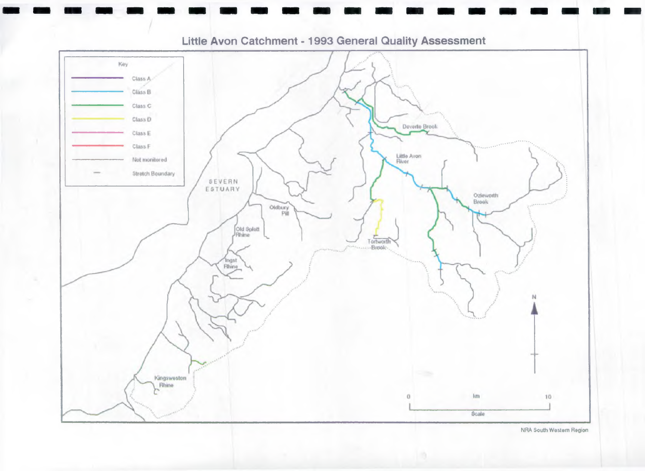

Little Avon Catchment -1993 General Quality Assessment

NRA South Western Region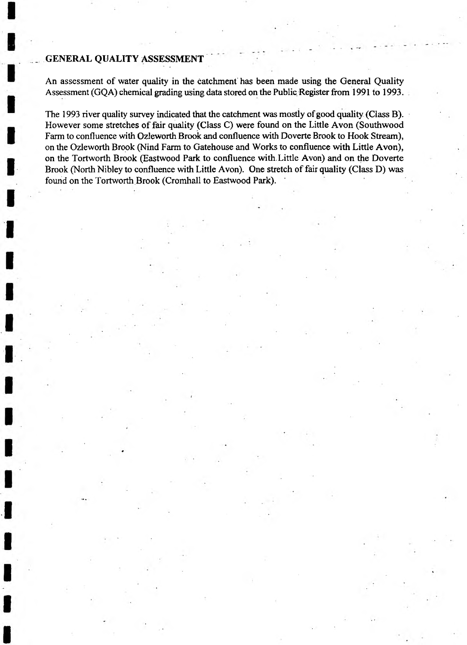#### **GENERAL QUALITY ASSESSMENT**

An assessment of water quality in the catchment has been made using the General Quality Assessment (GQA) chemical grading using data stored on the Public Register from 1991 to 1993.

The 1993 river quality survey indicated that the catchment was mostly of good quality (Class B). However some stretches of fair quality (Class C) were found on the Little Avon (Southwood Farm to confluence with Ozleworth Brook and confluence with Doverte Brook to Hook Stream), on the Ozleworth Brook (Nind Farm to Gatehouse and Works to confluence with Little Avon), on the Tortworth Brook (Eastwood Park to confluence with. Little Avon) and on the Doverte Brook (North Nibley to confluence with Little Avon). One stretch of fair quality (Class D) was found on the Tortworth Brook (Cromhall to Eastwood Park).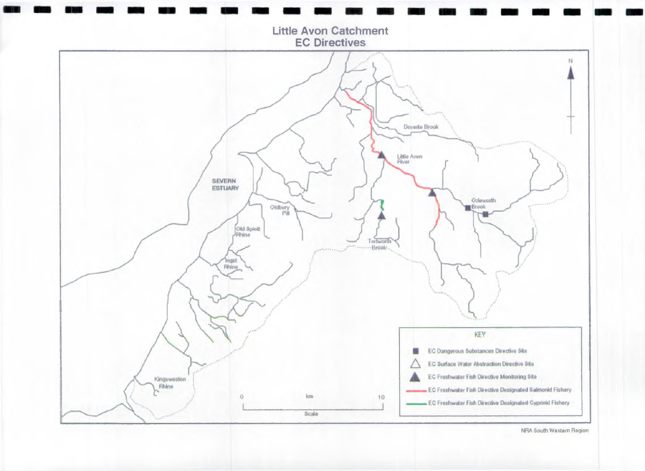

NRA South Western Region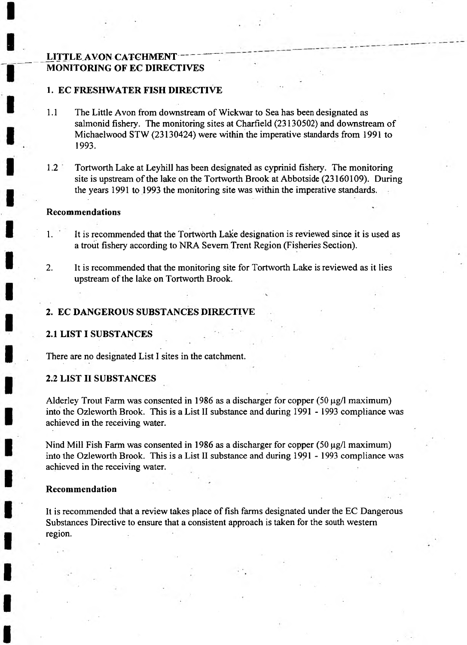#### **LITTLE AVON CATCHMENT MONITORING OF EC DIRECTIVES**

#### **1. EC FRESHWATER FISH DIRECTIVE**

- 1.1 The Little Avon from downstream of Wickwar to Sea has been designated as salmonid fishery. The monitoring sites at Charfield (23130502) and downstream of Michaelwood STW (23130424) were within the imperative standards from 1991 to 1993.
- 1.2 Tortworth Lake at Leyhill has been designated as cyprinid fishery. The monitoring site is upstream of the lake on the Tortworth Brook at Abbotside (23160109). During the years 1991 to 1993 the monitoring site was within the imperative standards.

#### **Recommendations**

- 1. It is recommended that the Tortworth Lake designation is reviewed since it is used as a trout fishery according to NRA Severn Trent Region (Fisheries Section).
- 2. It is recommended that the monitoring site for Tortworth Lake is reviewed as it lies upstream of the lake on Tortworth Brook.

#### **2. EC DANGEROUS SUBSTANCES DIRECTIVE**

#### **2.1 LIST I SUBSTANCES**

There are no designated List I sites in the catchment.

#### **2.2 LIST II SUBSTANCES**

Alderley Trout Farm was consented in 1986 as a discharger for copper  $(50 \mu g/l$  maximum) into the Ozleworth Brook. This is a List II substance and during 1991 - 1993 compliance was achieved in the receiving water.

Nind Mill Fish Farm was consented in 1986 as a discharger for copper (50  $\mu$ g/l maximum) into the Ozleworth Brook. This is a List II substance and during 1991 - 1993 compliance was achieved in the receiving water.

#### **Recommendation**

It is recommended that a review takes place of fish farms designated under the EC Dangerous Substances Directive to ensure that a consistent approach is taken for the south western region.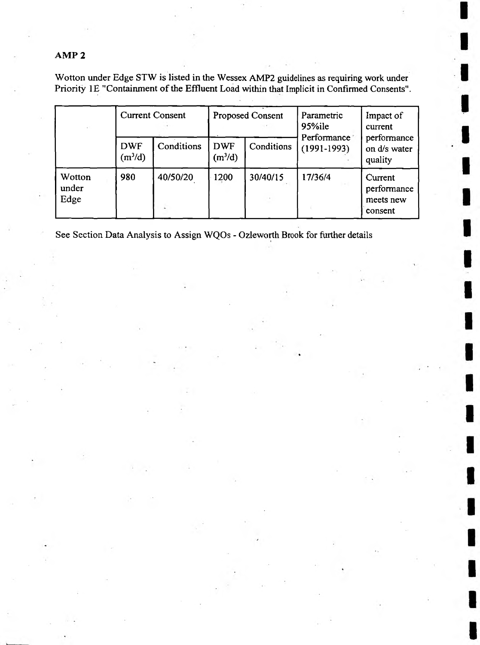### **AMP 2**

Wotton under Edge STW is listed in the Wessex AMP2 guidelines as requiring work under Priority IE "Containment of the Effluent Load within that Implicit in Confirmed Consents".

|                         |                                   | <b>Current Consent</b> |                                   | <b>Proposed Consent</b> | Parametric<br>$95\%$ ile                                                                                                            | Impact of<br>current |  |  |
|-------------------------|-----------------------------------|------------------------|-----------------------------------|-------------------------|-------------------------------------------------------------------------------------------------------------------------------------|----------------------|--|--|
|                         | <b>DWF</b><br>(m <sup>3</sup> /d) | Conditions             | <b>DWF</b><br>(m <sup>3</sup> /d) | Conditions              | Performance<br>performance<br>$(1991-1993)$<br>on d/s water<br>quality<br>17/36/4<br>Current<br>performance<br>meets new<br>consent |                      |  |  |
| Wotton<br>under<br>Edge | 980                               | 40/50/20               | 1200                              | 30/40/15                |                                                                                                                                     |                      |  |  |

See Section Data Analysis to Assign WQOs - Ozleworth Brook for further details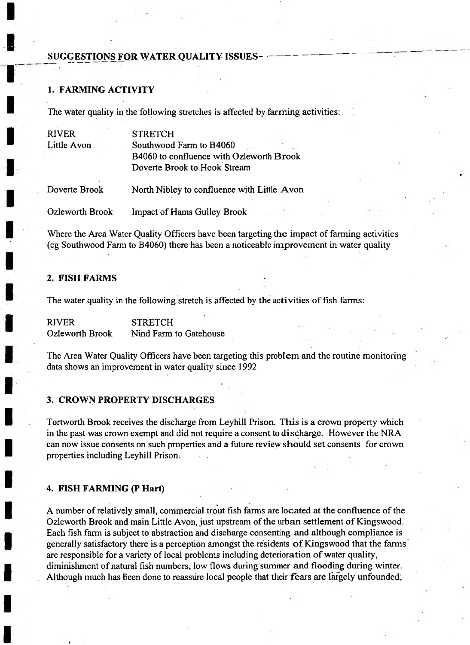#### **SUGGESTIONS FOR WATER QUALITY ISSUES**

#### **1. FARMING ACTIVITY**

The water quality in the following stretches is affected by farming activities:

| <b>RIVER</b>    | <b>STRETCH</b>                              |
|-----------------|---------------------------------------------|
| Little Avon     | Southwood Farm to B4060                     |
|                 | B4060 to confluence with Ozleworth Brook    |
|                 | Doverte Brook to Hook Stream                |
| Doverte Brook   | North Nibley to confluence with Little Avon |
| Ozleworth Brook | <b>Impact of Hams Gulley Brook</b>          |

Where the Area Water Quality Officers have been targeting the impact of farming activities (eg Southwood Farm to B4060) there has been a noticeable improvement in water quality

#### **2. FISH FARMS**

The water quality in the following stretch is affected by the activities of fish farms:

RIVER STRETCH Ozleworth Brook Nind Farm to Gatehouse

The Area Water Quality Officers have been targeting this problem and the routine monitoring data shows an improvement in water quality since 1992

#### **3. CROWN PROPERTY DISCHARGES**

Tortworth Brook receives the discharge from Leyhill Prison. This is a crown property which in the past was crown exempt and did not require a consent to discharge. However the NRA can now issue consents on such properties and a future review should set consents for crown properties including Leyhill Prison.

#### **4. FISH FARMING (P Hart)**

A number of relatively small, commercial trout fish farms are located at the confluence of the Ozleworth Brook and main Little Avon, just upstream of the urban settlement of Kingswood. Each fish farm is subject to abstraction and discharge consenting and although compliance is generally satisfactory there is a perception amongst the residents of Kingswood that the farms are responsible for a variety of local problems including deterioration of water quality, diminishment of natural fish numbers, low flows during summer and flooding during winter. Although much has been done to reassure local people that their fears are largely unfounded,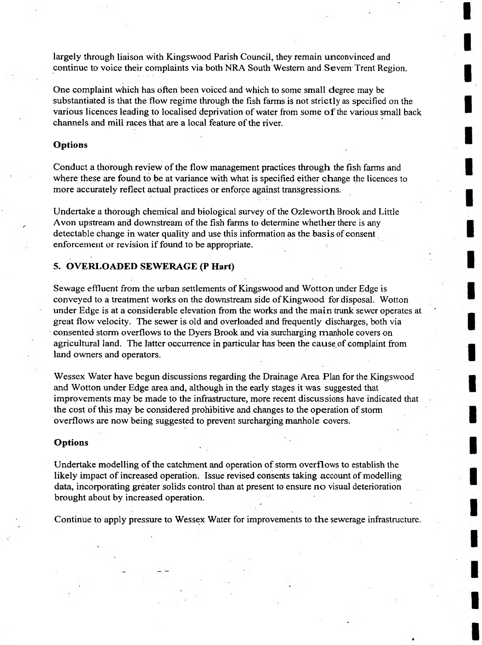largely through liaison with Kingswood Parish Council, they remain unconvinced and continue to voice their complaints via both NRA South Western and Severn Trent Region.

One complaint which has often been voiced and which to some small degree may be substantiated is that the flow regime through the fish farms is not strictly as specified on the various licences leading to localised deprivation of water from some of the various small back channels and mill races that are a local feature of the river.

#### **Options**

Conduct a thorough review of the flow management practices through the fish farms and where these are found to be at variance with what is specified either change the licences to more accurately reflect actual practices or enforce against transgressions.

Undertake a thorough chemical and biological survey of the Ozleworth Brook and Little Avon upstream and downstream of the fish farms to determine whether there is any detectable change in water quality and use this information as the basis of consent enforcement or revision if found to be appropriate.

#### **5. OVERLOADED SEWERAGE (P Hart)**

Sewage effluent from the urban settlements of Kingswood and Wotton under Edge is conveyed to a treatment works on the downstream side of King wood for disposal. Wotton under Edge is at a considerable elevation from the works and the main trunk sewer operates at great flow velocity. The sewer is old and overloaded and frequently discharges, both via consented storm overflows to the Dyers Brook and via surcharging manhole covers on agricultural land. The latter occurrence in particular has been the cause of complaint from land owners and operators.

Wessex Water have begun discussions regarding the Drainage Area Plan for the Kingswood and Wotton under Edge area and, although in the early stages it was suggested that improvements may be made to the infrastructure, more recent discussions have indicated that the cost of this may be considered prohibitive and changes to the operation of storm overflows are now being suggested to prevent surcharging manhole covers.

#### **Options**

Undertake modelling of the catchment and operation of storm overflows to establish the likely impact of increased operation. Issue revised consents taking account of modelling data, incorporating greater solids control than at present to ensure no visual deterioration brought about by increased operation.

Continue to apply pressure to Wessex Water for improvements to the sewerage infrastructure.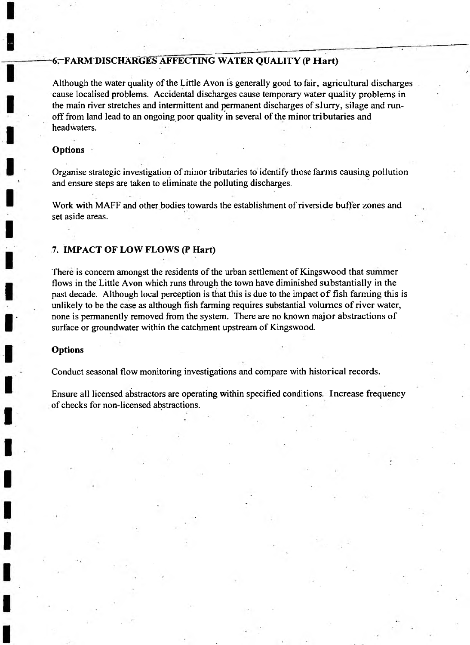#### **6-FARM DISCHARGES AFFECTING WATER QUALITY (P Hart)**

Although the water quality of the Little Avon is generally good to fair, agricultural discharges cause localised problems. Accidental discharges cause temporary water quality problems in the main river stretches and intermittent and permanent discharges of slurry, silage and runoff from land lead to an ongoing poor quality in several of the minor tributaries and headwaters.

#### **Options**

Organise strategic investigation of minor tributaries to identify those farms causing pollution and ensure steps are taken to eliminate the polluting discharges.

Work with MAFF and other bodies towards the establishment of riverside buffer zones and set aside areas.

#### **7. IMPACT OF LOW FLOWS (P Hart)**

There is concern amongst the residents of the urban settlement of Kingswood that summer flows in the Little Avon which runs through the town have diminished substantially in the past decade. Although local perception is that this is due to the impact of fish farming this is unlikely to be the case as although fish farming requires substantial volumes of river water, none is permanently removed from the system. There are no known major abstractions of surface or groundwater within the catchment upstream of Kingswood.

#### **Options**

Conduct seasonal flow monitoring investigations and compare with historical records.

Ensure all licensed abstractors are operating within specified conditions. Increase frequency of checks for non-licensed abstractions.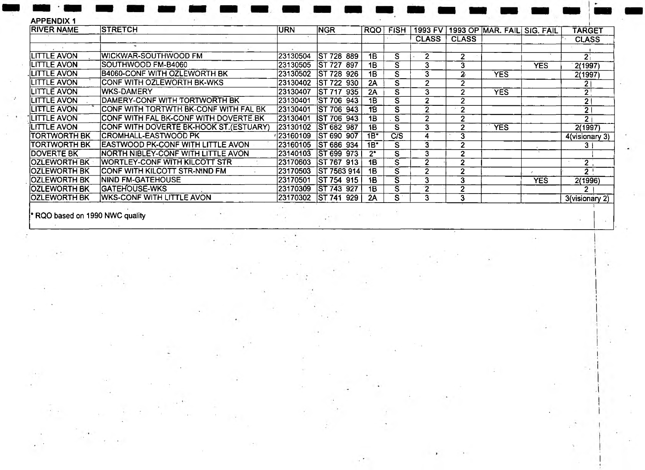| <b>APPENDIX1</b>     |                                        |          |                    |           |             |              |                |                                     |            |                  |
|----------------------|----------------------------------------|----------|--------------------|-----------|-------------|--------------|----------------|-------------------------------------|------------|------------------|
| <b>RIVER NAME</b>    | <b>STRETCH</b>                         | URN      | <b>NGR</b>         | RQO       | <b>FISH</b> |              |                | 1993 FV 1993 OP MAR. FAIL SIG. FAIL |            | TARGET           |
|                      |                                        |          |                    |           |             | <b>CLASS</b> | <b>CLASS</b>   |                                     |            | <b>CLASS</b>     |
|                      |                                        |          |                    |           |             |              |                |                                     |            |                  |
| LITTLE AVON          | WICKWAR-SOUTHWOOD FM                   | 23130504 | IST 728 889        | 1B        | S.          | $\mathbf{2}$ | $\overline{2}$ |                                     |            | 2 <sub>1</sub>   |
| ILITTLE AVO <b>N</b> | SOUTHWOOD FM-B4060                     | 23130505 | ST 727 897         | 1B        | S           | 3            | 3              |                                     | <b>YES</b> | 2(1997)          |
| ILITTLE AVON         | B4060-CONF WITH OZLEWORTH BK           | 23130502 | ST 728 926         | 1B        | S.          | 3            | 2              | <b>YES</b>                          |            | 2(1997)          |
| LITTLE AVON          | ICONF WITH OZLEWORTH BK-WKS            | 23130402 | <b>ST 722 930</b>  | 2A        | S           | 2            | 2              |                                     |            | ا 2              |
| <b>LITTLE AVON</b>   | IWKS-DAMERY                            | 23130407 | ST 717 935         | 2A        | S.          | 3            | 2              | <b>YES</b>                          |            | $\overline{2}$   |
| <b>LITTLE AVON</b>   | DAMERY-CONF WITH TORTWORTH BK          | 23130401 | <b>ST 706 943</b>  | <b>1B</b> | S.          |              | 2              |                                     |            | $\mathbf{2}$     |
| <b>LITTLE AVON</b>   | ICONF WITH TORTWTH BK-CONF WITH FAL BK | 23130401 | <b>IST 706 943</b> | 1B        | S.          |              | $\overline{2}$ |                                     |            | 2 <sub>1</sub>   |
| <b>LITTLE AVON</b>   | ICONF WITH FAL BK-CONF WITH DOVERTE BK | 23130401 | <b>IST 706 943</b> | 1B        | S           |              | $\mathbf{2}$   |                                     |            | $\mathbf{2}$     |
| <b>LITTLE AVON</b>   | CONF WITH DOVERTE BK-HOOK ST.(ESTUARY) | 23130102 | IST 682 987        | <b>1B</b> | s           | 3            | 2              | <b>YES</b>                          |            | 2(1997)          |
| TORTWORTH BK         | ICROMHALL-EASTWOOD PK                  | 23160109 | IST 690 907        | 1B*       | C/S         |              | 3              |                                     |            | 4(visionary 3)   |
| ITORTWORTH BK        | EASTWOOD PK-CONF WITH LITTLE AVON      | 23160105 | ST 686 934         | $1B^*$    | S           |              | 2              |                                     |            | 3                |
| <b>IDOVERTE BK</b>   | INORTH NIBLEY-CONF WITH LITTLE AVON    | 23140103 | ST 699 973         | $2^*$     | S.          | 3            | 2              |                                     |            |                  |
| IOZLEWORTH BK :      | WORTLEY-CONF WITH KILCOTT STR          | 23170603 | <b>ST 767 913</b>  | <b>1B</b> | s           |              | 2              |                                     |            | 2 <sub>1</sub>   |
| IOZLEWORTH BK        | ICONF WITH KILCOTT STR-NIND FM         | 23170503 | <b>ST 7563 914</b> | 1B        | S.          |              | $\overline{2}$ |                                     |            | $\overline{2}$ ! |
| IOZLEWORTH BK        | <b>NIND FM-GATEHOUSE</b>               | 23170501 | ST 754 915         | 18        | S.          |              | 3              |                                     | <b>YES</b> | 2(1996)          |
| IOZLEWORTH BK        | <b>GATEHOUSE-WKS</b>                   | 23170309 | ST 743 927         | 1B        | S.          | 2            | 2              |                                     |            | 2.               |
| OZLEWORTH BK         | <b>IWKS-CONF WITH LITTLE AVON</b>      | 23170302 | ST 741 929         | 2A        | S :         |              | 3              |                                     |            | 3(visionary 2)   |

 $\lambda$ 

\* RQO based on 1990 NWC quality

 $\epsilon$ 

i

o)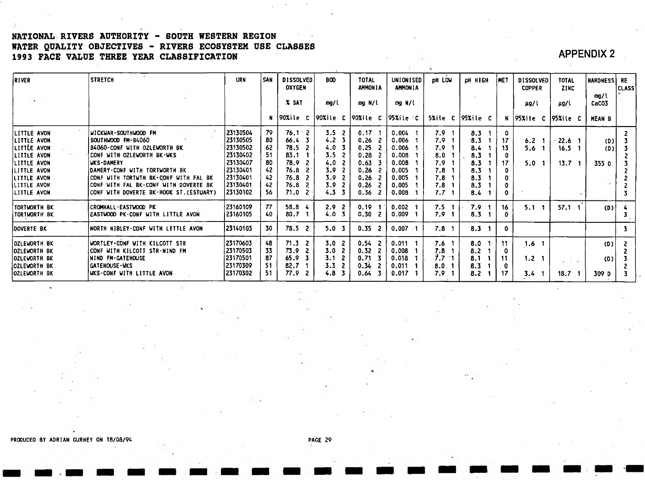#### **NATIONAL RIVERS AUTHORITY - SOUTH WESTERN REGION WATER QUALITY OBJECTIVES - RIVERS ECOSYSTEM USE CLASSES 1993 FACE VALUE THREE YEAR CLASSIFICATION APPENDIX 2**

| <b>RIVER</b>                                                                                                                                                    | <b>STRETCH</b>                                                                                                                                                                                                                                                                              | <b>URN</b>                                                                                                  | <b>SAN</b>                                   | <b>DISSOLVED</b><br><b>OXYGEN</b>                                                       | <b>BOD</b>                                                                           | <b>TOTAL</b><br><b>AMMONIA</b>                                       | UNIONISED<br><b>AMMONIA</b>                                                   | <b>DH LOW</b>                                                            | PH HIGH                                                     | <b>INET</b>                           | <b>DISSOLVED</b><br><b>COPPER</b> | <b>TOTAL</b><br><b>ZINC</b>                                 | HARDNESS RE           | <b>CLASS</b> |
|-----------------------------------------------------------------------------------------------------------------------------------------------------------------|---------------------------------------------------------------------------------------------------------------------------------------------------------------------------------------------------------------------------------------------------------------------------------------------|-------------------------------------------------------------------------------------------------------------|----------------------------------------------|-----------------------------------------------------------------------------------------|--------------------------------------------------------------------------------------|----------------------------------------------------------------------|-------------------------------------------------------------------------------|--------------------------------------------------------------------------|-------------------------------------------------------------|---------------------------------------|-----------------------------------|-------------------------------------------------------------|-----------------------|--------------|
|                                                                                                                                                                 |                                                                                                                                                                                                                                                                                             |                                                                                                             |                                              | X SAT                                                                                   | mg/l                                                                                 | mg N/l                                                               | mg N/l                                                                        |                                                                          |                                                             |                                       | $\mu$ g/l                         | µg/l                                                        | mg/l<br>CaCO3         |              |
|                                                                                                                                                                 |                                                                                                                                                                                                                                                                                             |                                                                                                             | N.                                           | 90%ile C                                                                                | 90Xi e C                                                                             | $ 90$ Xile C                                                         | 95%ile c                                                                      |                                                                          | $5xite$ C   95 $xite$ C                                     |                                       | N 95%ile C                        | $ 95x $ ile C                                               | <b>MEAN B</b>         |              |
| LITTLE AVON<br>LITTLE AVON<br><b>LITTLE AVON</b><br><b>LITTLE AVON</b><br>LITTLE AVON<br>LITTLE AVON<br><b>LITTLE AVON</b><br><b>LITTLE AVON</b><br>LITTLE AVON | WICKWAR-SOUTHWOOD FM<br>SOUTHWOOD FM-B4060<br>B4060-CONF WITH OZLEWORTH BK<br>CONF WITH OZLEWORTH BK-WKS<br><b>UKS-DAMERY</b><br>DAMERY-CONF WITH TORTWORTH BK<br>CONF WITH TORTWTH BK-CONF WITH FAL BK<br>CONF WITH FAL BK-CONF WITH DOVERTE BK<br>CONF WITH DOVERTE BK-HOOK ST. (ESTUARY) | 23130504<br>23130505<br>23130502<br>23130402<br>23130407<br>  23130401<br>23130401<br> 23130401<br>23130102 | 79<br>80<br>62<br>51<br>80<br>42<br>42<br>56 | $76.1 - 2$<br>66.4<br>78.5<br>83.1<br>78.9<br>76.8<br>76.8<br>76.8<br>71.0 <sub>2</sub> | $3.5 \, .2$<br>4.2<br>$4.0-3$<br>3.5<br>4.0<br>3.9<br>3.9<br>3.9<br>4.3 <sup>3</sup> | 0.17<br>0.26<br>0.25<br>0.28<br>0.63<br>0.26<br>0.26<br>0.26<br>0.36 | 0.004<br>0.006<br>0.006<br>0.008<br>0.008<br>0.005<br>0.005<br>0.005<br>0.008 | 7.9<br>7.9 <sub>1</sub><br>7.9<br>8.0<br>7.9<br>7.8<br>7.8<br>7.8<br>7.7 | 8.3<br>3.3<br>8.4<br>8.3<br>8.3<br>8.3<br>8.3<br>8.3<br>8.4 | - 0<br>17<br>13<br>17<br>$\mathbf{0}$ | 6.2<br>5.6<br>5.0                 | 22.6 <sub>1</sub><br>16.5 <sub>1</sub><br>13.7 <sub>1</sub> | (D)<br>(D) l<br>355 D |              |
| TORTWORTH BK<br>TORTWORTH BK                                                                                                                                    | <b>CROMHALL-EASTWOOD PK</b><br>EASTWOOD PK-CONF WITH LITTLE AVON                                                                                                                                                                                                                            | 23160109<br>123160105                                                                                       | 77<br>40                                     | 58.8<br>80.7                                                                            | 2.9 <sub>1</sub><br>-2<br>4.0                                                        | 0.19<br>0.30                                                         | 0.002<br>0.009                                                                | 7.5<br>-1<br>7.9                                                         | 7.9<br>8.3                                                  | 16<br>0                               | 5.1 <sub>1</sub>                  | 57.1<br>$\blacksquare$                                      | (D)                   | $\mathbf{3}$ |
| <b>DOVERTE BK</b>                                                                                                                                               | NORTH NIBLEY-CONF WITH LITTLE AVON                                                                                                                                                                                                                                                          | 23140103                                                                                                    | 30                                           | $78.5$ 2                                                                                | 5.0 <sub>3</sub>                                                                     | $0.35$ 2                                                             | $0.007 - 1$                                                                   | 7.8 <sub>1</sub>                                                         | 8.3                                                         | $\mathbf{0}$                          |                                   |                                                             |                       | 3            |
| <b>OZLEWORTH BK</b><br>OZLEWORTH BK<br><b>OZLEWORTH BK</b><br><b>JOZLEWORTH BK</b><br><b>OZLEWORTH BK</b>                                                       | WORTLEY-CONF WITH KILCOTT STR<br>CONF WITH KILCOTT STR-NIND FM<br>NIND FM-GATEHOUSE<br><b>GATEHOUSE-WKS</b><br>WKS-CONF WITH LITTLE AVON                                                                                                                                                    | 23170603<br>23170503<br>23170501<br>23170309<br>23170302                                                    | 48<br>33.<br>87<br>51<br>51                  | 71.3<br>-2<br>73.9<br>65.9<br>82.7<br>77.9                                              | 3.0<br>3.0<br>3.1<br>3.3<br>4.8                                                      | 0.54<br>-2<br>0.32<br>0.71<br>0.34<br>0.64                           | 0.011<br>0.008<br>0.018<br>0.011<br>0.017                                     | 7.6<br>7.8<br>$7.7 - 1$<br>8.0.1<br>7.9                                  | 8.0<br>8.2<br>8.1<br>8.3<br>8.2                             | 11<br>0<br>11<br>17                   | 1.6<br>1.2 <sub>1</sub><br>3.4    | 18.7                                                        | (D)<br>(0)<br>309 D   |              |

PRODUCED BY ADRIAN GURNEY ON 18/08/94 PAGE 29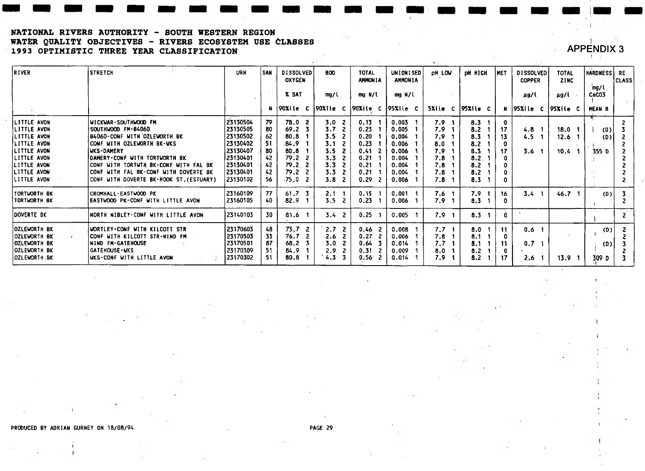#### **NATIONAL RIVER8 AUTHORITY - SOUTH WESTERN REGION WATER QUALITY OBJECTIVES - RIVERS ECOSYSTEM USE CLASSES 1993 OPTIMISTIC THREE YEAR CLASSIFICATION**

#### *y* **APPENDIX 3** i

i

! i

**i**

| <b>RIVER</b>               | <b>STRETCH</b>                                                         | <b>URN</b>           | l SAN    | <b>DISSOLVED</b><br><b>OXYGEN</b> | <b>BOD</b>              | <b>TOTAL</b><br><b>AMMONIA</b> | UNIONISED<br><b>AMMONIA</b> | <b>DH LOW</b>    | <b>PH HIGH</b>     | <b>IMET</b>  | <b>DISSOLVED</b><br><b>COPPER</b> | <b>TOTAL</b><br><b>ZINC</b> | <b>HARDNESS RE</b> | <b>CLASS</b>   |
|----------------------------|------------------------------------------------------------------------|----------------------|----------|-----------------------------------|-------------------------|--------------------------------|-----------------------------|------------------|--------------------|--------------|-----------------------------------|-----------------------------|--------------------|----------------|
|                            |                                                                        |                      |          | X SAT                             | mg/l                    | mg N/l                         | mg N/l                      |                  |                    |              | µg/l                              | µg/l                        | mg/l<br>CaCO3      |                |
|                            |                                                                        |                      |          | 190%ile C                         | 90Xile C                | 90Xi e C 95Xi e C              |                             |                  | 5%ile C   95%ile C |              | $N$  95% ile C  95% ile C         |                             | <b>MEAN B</b>      |                |
| <b>LITTLE AVON</b>         | <b>WICKWAR-SOUTHWOOD FM</b>                                            | 23130504             | 79       | 78.02                             | 3.0 <sub>2</sub>        | 0.13                           | 0.003                       | 7.9              | 8.3                |              |                                   |                             |                    |                |
| LITTLE AVON                | SOUTHWOOD FM-B4060                                                     | 23130505             | 80       | 69.2 <sub>5</sub>                 | 3.7<br>-2               | 0.23                           | 0.005                       | 7.9              | 8.2                | 17           | 4.8                               | 18.0                        | (0)                |                |
| LITTLE AVON                | B4060-CONF WITH OZLEWORTH BK                                           | 23130502             | 62       | 80.8                              | 3.5 <sub>2</sub>        | 0.20                           | 0.004                       | 7.9              | 8.3                | 13           | 4.5                               | 12.6                        | (D)                |                |
| LITTLE AVON                | CONF WITH OZLEWORTH BK-WKS                                             | 23130402             | 51       | .84.9                             | 3.1                     | 0.23                           | 0.006                       | 8.0              | 8.2                |              |                                   |                             |                    |                |
| LITTLE AVON                | WKS-DAMERY                                                             | 23130407             | 80       | 80.8                              | 3.5                     | 0.41<br>- 2                    | 0.006                       | 7.9              | 8.3                | -17          | 3.6                               | 10.4 <sub>1</sub>           | 355 <sub>0</sub>   |                |
| LITTLE AVON<br>LITTLE AVON | DAMERY-CONF WITH TORTWORTH BK<br>CONF WITH TORTWTH BK-CONF WITH FAL BK | 23130401<br>23130401 | 42<br>42 | 79.2<br>79.2 <sub>2</sub>         | 3.3<br>3.3 <sub>2</sub> | 0.21<br>0.21                   | 0.004<br>0.004              | 7.8<br>7.8       | 8.2                |              |                                   |                             |                    |                |
| LITTLE AVON                | CONF WITH FAL BK-CONF WITH DOVERTE BK                                  | 23130401             | 42       | 79.2                              | 3.3<br>- 2              | 0.21                           | 0.004                       | 7.8              | 8.2<br>8.2         |              |                                   |                             |                    |                |
| LITTLE AVON                | CONF WITH DOVERTE BK-HOOK ST. (ESTUARY)                                | 23130102             | 56       | $-75.0$ 2                         | 3.8 <sub>2</sub>        | 0.29<br>-2                     | 0.006                       | 7.8              | 8.3                |              |                                   |                             |                    |                |
| TORTWORTH BK               | <b>CROMHALL-EASTWOOD PK</b>                                            | 23160109             | 77       | 61.7                              | $2.1 \quad 1$           | 0.15                           | 0.001                       | 7.6              | 7.9                | 16           | 3.4 <sub>1</sub>                  | 46.7                        | (D)                |                |
| <b>TORTWORTH BK</b>        | EASTWOOD PK-CONF WITH LITTLE AVON                                      | 23160105             | 40.      | 82.9                              | 3.5 <sub>2</sub>        | 0.23                           | 0.006                       | 7.9              | 8.3                |              |                                   |                             |                    |                |
| DOVERTE BK                 | NORTH NIBLEY-CONF WITH LITTLE AVON                                     | 123140103            | 30       | 81.6                              | 3.4 <sub>2</sub>        | 0.25                           | 0.005                       | 7.9 <sub>1</sub> | 8.3<br>-1          | $\mathbf{0}$ |                                   |                             |                    | $\overline{2}$ |
| <b>OZLEWORTH BK</b>        | WORTLEY-CONF WITH KILCOTT STR                                          | 23170603             | 48       | 73.7<br>-2                        | 2.7 <sub>2</sub>        | $0.46$ 2                       | 0.008                       | 7.7              | 8.0                | 11           | 0.6 <sub>1</sub>                  |                             | (D)                |                |
| <b>OZLEWORTH BK</b>        | CONF WITH KILCOTT STR-NIND FM                                          | 23170503             | 33       | 76.7                              | 2.6<br>- 2              | 0.27<br>-2                     | 0.006                       | 7.8              | 8.1                |              |                                   |                             |                    |                |
| <b>OZLEWORTH BK</b>        | <b>NIND FM-GATEHOUSE</b>                                               | 23170501             | 87       | 68.2                              | 3.0                     | 0.64 <sub>3</sub>              | 0.014                       | 7.7              | 8.1                | 11           | 0,7,1                             |                             | (D)                |                |
| <b>OZLEWORTH BK</b>        | <b>GATEROUSE-WKS</b>                                                   | 23170309             | 51       | 84.9                              | 2.9 <sub>2</sub>        | $0.31 \quad 2$                 | 0.009                       | 8.0              | 8.2                |              |                                   |                             |                    |                |
| <b>OZLEWORTH .BK</b>       | WKS-CONF WITH LITTLE AVON                                              | 23170302             | 51       | 80.8                              | 4.3 <sup>3</sup>        | 0.56 <sub>2</sub>              | 0.014                       | 7.9              | 8.2                | 17           | 2.6                               | 13.9                        | 309 D              |                |

PRODUCED BY ADRIAN GURNEY ON 18/08/94 PAGE 29